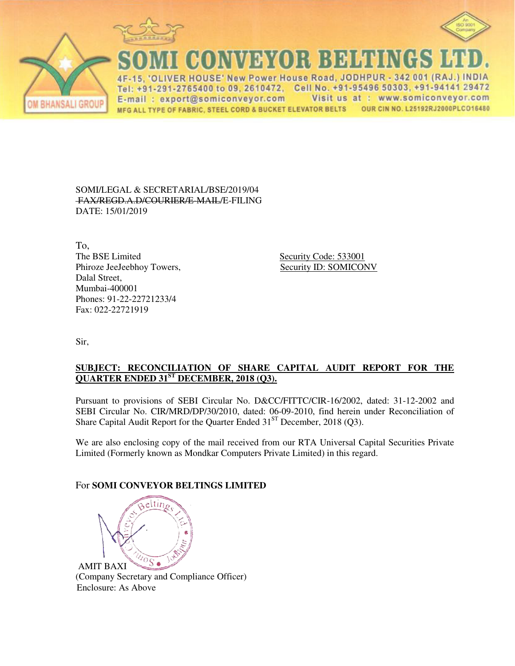





**CONVEYOR BELTINGS** 

IVER HOUSE' New Power House Road, JODHPUR - 342 001 (RAJ.) INDIA  $\Delta F$ Tel: +91-291-2765400 to 09, 2610472, Cell No. +91-95496 50303, +91-94141 29472 Visit us at : www.somiconveyor.com E-mail: export@somiconveyor.com OUR CIN NO. L25192RJ2000PLCO16480 MFG ALL TYPE OF FABRIC, STEEL CORD & BUCKET ELEVATOR BELTS

SOMI/LEGAL & SECRETARIAL/BSE/2019/04 FAX/REGD.A.D/COURIER/E-MAIL/E-FILING DATE: 15/01/2019

To,<br>The BSE Limited Phiroze JeeJeebhoy Towers, Security ID: SOMICONV Dalal Street, Mumbai-400001 Phones: 91-22-22721233/4 Fax: 022-22721919

Security Code: 533001

Sir,

## **SUBJECT: RECONCILIATION OF SHARE CAPITAL AUDIT REPORT FOR THE QUARTER ENDED 31ST DECEMBER, 2018 (Q3).**

Pursuant to provisions of SEBI Circular No. D&CC/FITTC/CIR-16/2002, dated: 31-12-2002 and SEBI Circular No. CIR/MRD/DP/30/2010, dated: 06-09-2010, find herein under Reconciliation of Share Capital Audit Report for the Quarter Ended  $31<sup>ST</sup>$  December, 2018 (Q3).

We are also enclosing copy of the mail received from our RTA Universal Capital Securities Private Limited (Formerly known as Mondkar Computers Private Limited) in this regard.

## For **SOMI CONVEYOR BELTINGS LIMITED**



AMIT BAXI (Company Secretary and Compliance Officer) Enclosure: As Above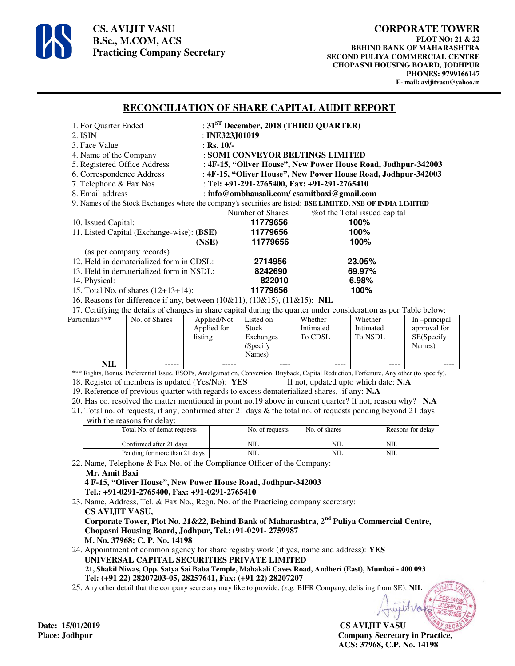

**CS. AVIJIT VASU B.Sc., M.COM, ACS Practicing Company Secretary** 

## **RECONCILIATION OF SHARE CAPITAL AUDIT REPORT**

| 1. For Quarter Ended                                                                                         | : $31ST$ December, 2018 (THIRD QUARTER)                       |                               |  |  |  |
|--------------------------------------------------------------------------------------------------------------|---------------------------------------------------------------|-------------------------------|--|--|--|
| 2. ISIN                                                                                                      | : INE323, J $01019$                                           |                               |  |  |  |
| 3. Face Value                                                                                                | : Rs. $10/-$                                                  |                               |  |  |  |
| 4. Name of the Company                                                                                       | : SOMI CONVEYOR BELTINGS LIMITED                              |                               |  |  |  |
| 5. Registered Office Address                                                                                 | : 4F-15, "Oliver House", New Power House Road, Jodhpur-342003 |                               |  |  |  |
| 6. Correspondence Address                                                                                    | : 4F-15, "Oliver House", New Power House Road, Jodhpur-342003 |                               |  |  |  |
| 7. Telephone & Fax Nos                                                                                       | : Tel: $+91-291-2765400$ , Fax: $+91-291-2765410$             |                               |  |  |  |
| 8. Email address                                                                                             | : info@ombhansali.com/csamitbaxi@gmail.com                    |                               |  |  |  |
| 9. Names of the Stock Exchanges where the company's securities are listed: BSE LIMITED, NSE OF INDIA LIMITED |                                                               |                               |  |  |  |
|                                                                                                              | Number of Shares                                              | % of the Total issued capital |  |  |  |
| 10. Issued Capital:                                                                                          | 11779656                                                      | 100%                          |  |  |  |
| 11. Listed Capital (Exchange-wise): (BSE)                                                                    | 11779656                                                      | 100%                          |  |  |  |
|                                                                                                              | 11779656<br>(NSE)                                             | 100%                          |  |  |  |
| (as per company records)                                                                                     |                                                               |                               |  |  |  |
| 12. Held in dematerialized form in CDSL:                                                                     | 2714956                                                       | 23.05%                        |  |  |  |
| 13. Held in dematerialized form in NSDL:                                                                     | 8242690                                                       | 69.97%                        |  |  |  |
| 14. Physical:                                                                                                | 822010                                                        | 6.98%                         |  |  |  |
| 15. Total No. of shares (12+13+14):                                                                          | 11779656                                                      | 100%                          |  |  |  |
| 16. Reasons for difference if any, between (10&11), (10&15), (11&15): NIL                                    |                                                               |                               |  |  |  |

17. Certifying the details of changes in share capital during the quarter under consideration as per Table below:

|                |               |             | $\overline{\phantom{0}}$ |           |           |                 |
|----------------|---------------|-------------|--------------------------|-----------|-----------|-----------------|
| Particulars*** | No. of Shares | Applied/Not | Listed on                | Whether   | Whether   | In $-principal$ |
|                |               | Applied for | <b>Stock</b>             | Intimated | Intimated | approval for    |
|                |               | listing     | Exchanges                | To CDSL   | To NSDL   | SE(Specify      |
|                |               |             | (Specify)                |           |           | Names)          |
|                |               |             | Names)                   |           |           |                 |
| NIL            | -----         | -----       | ----                     | ----      | ----      | ----            |

\*\*\* Rights, Bonus, Preferential Issue, ESOPs, Amalgamation, Conversion, Buyback, Capital Reduction, Forfeiture, Any other (to specify). 18. Register of members is updated (Yes/No): **YES** If not, updated upto which date: **N.A** 

19. Reference of previous quarter with regards to excess dematerialized shares, .if any: **N.A**

20. Has co. resolved the matter mentioned in point no.19 above in current quarter? If not, reason why? **N.A**

21. Total no. of requests, if any, confirmed after 21 days & the total no. of requests pending beyond 21 days with the reasons for delay:

| Total No. of demat requests   | No. of requests | No. of shares | Reasons for delay |
|-------------------------------|-----------------|---------------|-------------------|
| Confirmed after 21 days       | NIL             | NIL           | NIL               |
| Pending for more than 21 days | NIL             | <b>NIL</b>    | NIL               |

22. Name, Telephone & Fax No. of the Compliance Officer of the Company: **Mr. Amit Baxi 4 F-15, "Oliver House", New Power House Road, Jodhpur-342003** 

 **Tel.: +91-0291-2765400, Fax: +91-0291-2765410** 

23. Name, Address, Tel. & Fax No., Regn. No. of the Practicing company secretary:  **CS AVIJIT VASU, Corporate Tower, Plot No. 21&22, Behind Bank of Maharashtra, 2nd Puliya Commercial Centre,** 

 **Chopasni Housing Board, Jodhpur, Tel.:+91-0291- 2759987 M. No. 37968; C. P. No. 14198** 

24. Appointment of common agency for share registry work (if yes, name and address): **YES UNIVERSAL CAPITAL SECURITIES PRIVATE LIMITED 21, Shakil Niwas, Opp. Satya Sai Baba Temple, Mahakali Caves Road, Andheri (East), Mumbai - 400 093 Tel: (+91 22) 28207203-05, 28257641, Fax: (+91 22) 28207207**

25. Any other detail that the company secretary may like to provide, (*e.g.* BIFR Company, delisting from SE): **NIL**

**CS AVIJIT VASU** Place: Jodhpur **Company Secretary in Practice, ACS: 37968, C.P. No. 14198** 

Date: 15/01/2019